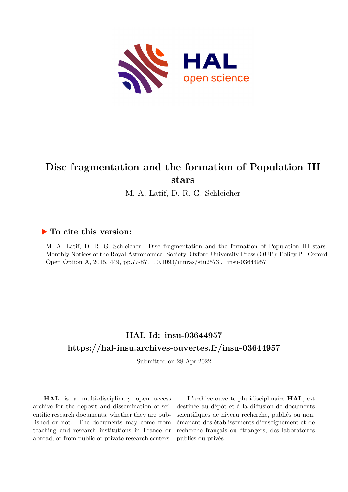

# **Disc fragmentation and the formation of Population III stars**

M. A. Latif, D. R. G. Schleicher

## **To cite this version:**

M. A. Latif, D. R. G. Schleicher. Disc fragmentation and the formation of Population III stars. Monthly Notices of the Royal Astronomical Society, Oxford University Press (OUP): Policy P - Oxford Open Option A, 2015, 449, pp.77-87.  $10.1093/mnras/stu2573$ . insu-03644957

# **HAL Id: insu-03644957 <https://hal-insu.archives-ouvertes.fr/insu-03644957>**

Submitted on 28 Apr 2022

**HAL** is a multi-disciplinary open access archive for the deposit and dissemination of scientific research documents, whether they are published or not. The documents may come from teaching and research institutions in France or abroad, or from public or private research centers.

L'archive ouverte pluridisciplinaire **HAL**, est destinée au dépôt et à la diffusion de documents scientifiques de niveau recherche, publiés ou non, émanant des établissements d'enseignement et de recherche français ou étrangers, des laboratoires publics ou privés.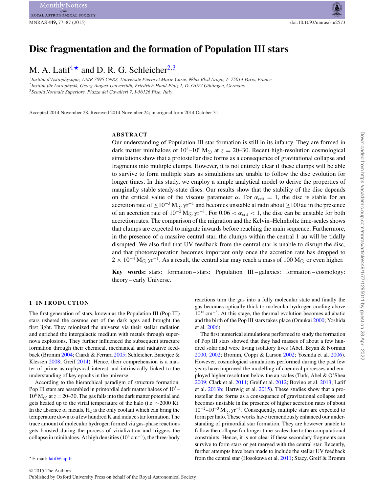ROYAL ASTRONOMICAL SOCIETY

## **Disc fragmentation and the formation of Population III stars**

M. A. Latif<sup>1\*</sup> and D. R. G. Schleicher<sup>2,3</sup>

<sup>1</sup>*Institut d'Astrophysique, UMR 7095 CNRS, Universite Pierre et Marie Curie, 98bis Blvd Arago, F-75014 Paris, France* <sup>2</sup>*Institut fur Astrophysik, Georg-August-Universit ¨ at, Friedrich-Hund-Platz 1, D-37077 G ¨ ottingen, Germany ¨* <sup>3</sup>*Scuola Normale Superiore, Piazza dei Cavalieri 7, I-56126 Pisa, Italy*

Accepted 2014 November 28. Received 2014 November 24; in original form 2014 October 31

#### **ABSTRACT**

Our understanding of Population III star formation is still in its infancy. They are formed in dark matter minihaloes of  $10^5 - 10^6$  M<sub> $\odot$ </sub> at  $z = 20 - 30$ . Recent high-resolution cosmological simulations show that a protostellar disc forms as a consequence of gravitational collapse and fragments into multiple clumps. However, it is not entirely clear if these clumps will be able to survive to form multiple stars as simulations are unable to follow the disc evolution for longer times. In this study, we employ a simple analytical model to derive the properties of marginally stable steady-state discs. Our results show that the stability of the disc depends on the critical value of the viscous parameter  $\alpha$ . For  $\alpha_{\text{crit}} = 1$ , the disc is stable for an accretion rate of  $\leq 10^{-3}$  M<sub>O</sub> yr<sup>-1</sup> and becomes unstable at radii about  $\geq 100$  au in the presence of an accretion rate of  $10^{-2} M_{\odot} yr^{-1}$ . For  $0.06 < \alpha_{\text{crit}} < 1$ , the disc can be unstable for both accretion rates. The comparison of the migration and the Kelvin–Helmholtz time-scales shows that clumps are expected to migrate inwards before reaching the main sequence. Furthermore, in the presence of a massive central star, the clumps within the central 1 au will be tidally disrupted. We also find that UV feedback from the central star is unable to disrupt the disc, and that photoevaporation becomes important only once the accretion rate has dropped to  $2 \times 10^{-4}$  M<sub> $\odot$ </sub> yr<sup>-1</sup>. As a result, the central star may reach a mass of 100 M<sub> $\odot$ </sub> or even higher.

**Key words:** stars: formation – stars: Population III – galaxies: formation – cosmology: theory – early Universe.

#### **1 INTRODUCTION**

The first generation of stars, known as the Population III (Pop III) stars ushered the cosmos out of the dark ages and brought the first light. They reionized the universe via their stellar radiation and enriched the intergalactic medium with metals through supernova explosions. They further influenced the subsequent structure formation through their chemical, mechanical and radiative feedback (Bromm 2004; Ciardi & Ferrara 2005; Schleicher, Banerjee & Klessen 2008; Greif 2014). Hence, their comprehension is a matter of prime astrophysical interest and intrinsically linked to the understanding of key epochs in the universe.

According to the hierarchical paradigm of structure formation, Pop III stars are assembled in primordial dark matter haloes of  $10<sup>5</sup>$  $10^6$  M<sub> $\odot$ </sub> at  $z = 20-30$ . The gas falls into the dark matter potential and gets heated up to the virial temperature of the halo (i.e. ∼2000 K). In the absence of metals,  $H_2$  is the only coolant which can bring the temperature down to a few hundred K and induce star formation. The trace amount of molecular hydrogen formed via gas-phase reactions gets boosted during the process of virialization and triggers the collapse in minihaloes. At high densities ( $10^8$  cm<sup>-3</sup>), the three-body

reactions turn the gas into a fully molecular state and finally the gas becomes optically thick to molecular hydrogen cooling above  $10^{18}$  cm<sup>-3</sup>. At this stage, the thermal evolution becomes adiabatic and the birth of the Pop III stars takes place (Omukai 2000; Yoshida et al. 2006).

The first numerical simulations performed to study the formation of Pop III stars showed that they had masses of about a few hundred solar and were living isolatory lives (Abel, Bryan & Norman 2000, 2002; Bromm, Coppi & Larson 2002; Yoshida et al. 2006). However, cosmological simulations performed during the past few years have improved the modelling of chemical processes and employed higher resolution below the au scales (Turk, Abel & O'Shea 2009; Clark et al. 2011; Greif et al. 2012; Bovino et al. 2013; Latif et al. 2013b; Hartwig et al. 2015). These studies show that a protostellar disc forms as a consequence of gravitational collapse and becomes unstable in the presence of higher accretion rates of about  $10^{-2}$ – $10^{-3}$  M<sub> $\odot$ </sub> yr<sup>-1</sup>. Consequently, multiple stars are expected to form per halo. These works have tremendously enhanced our understanding of primordial star formation. They are however unable to follow the collapse for longer time-scales due to the computational constraints. Hence, it is not clear if these secondary fragments can survive to form stars or get merged with the central star. Recently, further attempts have been made to include the stellar UV feedback from the central star (Hosokawa et al. 2011; Stacy, Greif & Bromm

E-mail: [latif@iap.fr](mailto:latif@iap.fr)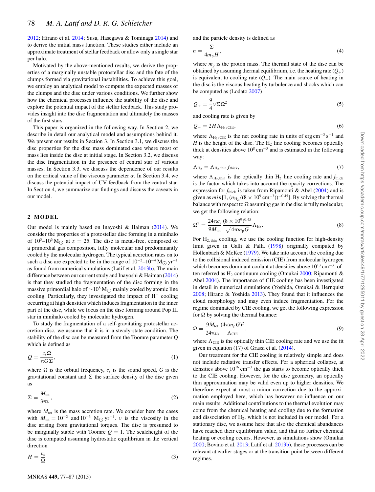2012; Hirano et al. 2014; Susa, Hasegawa & Tominaga 2014) and to derive the initial mass function. These studies either include an approximate treatment of stellar feedback or allow only a single star per halo.

Motivated by the above-mentioned results, we derive the properties of a marginally unstable protostellar disc and the fate of the clumps formed via gravitational instabilities. To achieve this goal, we employ an analytical model to compute the expected masses of the clumps and the disc under various conditions. We further show how the chemical processes influence the stability of the disc and explore the potential impact of the stellar feedback. This study provides insight into the disc fragmentation and ultimately the masses of the first stars.

This paper is organized in the following way. In Section 2, we describe in detail our analytical model and assumptions behind it. We present our results in Section 3. In Section 3.1, we discuss the disc properties for the disc mass dominated case where most of mass lies inside the disc at initial stage. In Section 3.2, we discuss the disc fragmentation in the presence of central star of various masses. In Section 3.3, we discuss the dependence of our results on the critical value of the viscous parameter  $\alpha$ . In Section 3.4, we discuss the potential impact of UV feedback from the central star. In Section 4, we summarize our findings and discuss the caveats in our model.

#### **2 MODEL**

Our model is mainly based on Inayoshi & Haiman (2014). We consider the properties of a protostellar disc forming in a minihalo of  $10^5 - 10^6$  M<sub> $\odot$ </sub> at  $z = 25$ . The disc is metal-free, composed of a primordial gas composition, fully molecular and predominantly cooled by the molecular hydrogen. The typical accretion rates on to such a disc are expected to be in the range of  $10^{-2}$ – $10^{-4}$  M<sub> $\odot$ </sub> yr<sup>-1</sup> as found from numerical simulations (Latif et al. 2013b). The main difference between our current study and Inayoshi & Haiman (2014) is that they studied the fragmentation of the disc forming in the massive primordial halo of  $\sim$ 10<sup>8</sup> M<sub>☉</sub> mainly cooled by atomic line cooling. Particularly, they investigated the impact of H<sup>−</sup> cooling occurring at high densities which induces fragmentation in the inner part of the disc, while we focus on the disc forming around Pop III star in minihalo cooled by molecular hydrogen.

To study the fragmentation of a self-gravitating protostellar accretion disc, we assume that it is in a steady-state condition. The stability of the disc can be measured from the Toomre parameter Q which is defined as

$$
Q = \frac{c_s \Omega}{\pi G \Sigma},\tag{1}
$$

where  $\Omega$  is the orbital frequency,  $c_s$  is the sound speed, *G* is the gravitational constant and  $\Sigma$  the surface density of the disc given as

$$
\Sigma = \frac{\dot{M}_{\text{tot}}}{3\pi\nu},\tag{2}
$$

where  $M_{\text{tot}}$  is the mass accretion rate. We consider here the cases with  $M_{\text{tot}} = 10^{-2}$  and  $10^{-3}$  M<sub>O</sub> yr<sup>-1</sup>. *v* is the viscosity in the disc arising from gravitational torques. The disc is presumed to be marginally stable with Toomre  $Q = 1$ . The scaleheight of the disc is computed assuming hydrostatic equilibrium in the vertical direction

$$
H = \frac{c_{\rm s}}{\Omega} \tag{3}
$$

and the particle density is defined as

$$
n = \frac{\Sigma}{4m_{\rm p}H},\tag{4}
$$

where  $m<sub>p</sub>$  is the proton mass. The thermal state of the disc can be obtained by assuming thermal equilibrium, i.e. the heating rate  $(Q_+)$ is equivalent to cooling rate (*Q*−). The main source of heating in the disc is the viscous heating by turbulence and shocks which can be computed as (Lodato 2007)

$$
Q_{+} = \frac{9}{4} \nu \Sigma \Omega^{2} \tag{5}
$$

and cooling rate is given by

$$
Q_{-} = 2H\Lambda_{\text{H}_2/\text{CIE}},\tag{6}
$$

where  $\Lambda_{\text{H}_2/\text{CIE}}$  is the net cooling rate in units of erg cm<sup>-3</sup> s<sup>-1</sup> and  $H$  is the height of the disc. The  $H_2$  line cooling becomes optically thick at densities above  $10^8$  cm<sup>-3</sup> and is estimated in the following way:

$$
\Lambda_{\rm H_2} = \Lambda_{\rm H_2,thin} f_{\rm thick},\tag{7}
$$

where  $\Lambda_{H_2, \text{thin}}$  is the optically thin  $H_2$  line cooling rate and  $f_{\text{thick}}$ is the factor which takes into account the opacity corrections. The expression for  $f_{thick}$  is taken from Ripamonti & Abel (2004) and is given as  $min[1, (n_{\text{H}_2}/(8 \times 10^9 \text{ cm}^{-3}))^{-0.45}]$ . By solving the thermal balance with respect to  $\Omega$  assuming gas in the disc is fully molecular, we get the following relation:

$$
\Omega^2 = \frac{24\pi c_s}{9\dot{M}_{\text{tot}}} \frac{(8 \times 10^9)^{0.45}}{\sqrt{4\pi m_p G}} \Lambda_{\text{H}_2}.
$$
 (8)

For  $H_{2, thin}$  cooling, we use the cooling function for high-density limit given in Galli & Palla (1998) originally computed by Hollenbach & McKee (1979). We take into account the cooling due to the collisional induced emission (CIE) from molecular hydrogen which becomes dominant coolant at densities above  $10^{13}$  cm<sup>-3</sup>, often referred as  $H_2$  continuum cooling (Omukai 2000; Ripamonti & Abel 2004). The importance of CIE cooling has been investigated in detail in numerical simulations (Yoshida, Omukai & Hernquist 2008; Hirano & Yoshida 2013). They found that it influences the cloud morphology and may even induce fragmentation. For the regime dominated by CIE cooling, we get the following expression for  $\Omega$  by solving the thermal balance:

$$
\Omega = \frac{9\dot{M}_{\text{tot}}}{24\pi c_s} \frac{(4\pi m_p G)^2}{\Lambda_{\text{CIE}}},\tag{9}
$$

where  $\Lambda_{\text{CIE}}$  is the optically thin CIE cooling rate and we use the fit given in equation (17) of Grassi et al. (2014).

Our treatment for the CIE cooling is relatively simple and does not include radiative transfer effects. For a spherical collapse, at densities above  $10^{16}$  cm<sup>-3</sup> the gas starts to become optically thick to the CIE cooling. However, for the disc geometry, an optically thin approximation may be valid even up to higher densities. We therefore expect at most a minor correction due to the approximation employed here, which has however no influence on our main results. Additional contributions to the thermal evolution may come from the chemical heating and cooling due to the formation and dissociation of  $H_2$ , which is not included in our model. For a stationary disc, we assume here that also the chemical abundances have reached their equilibrium value, and that no further chemical heating or cooling occurs. However, as simulations show (Omukai 2000; Bovino et al. 2013; Latif et al. 2013b), these processes can be relevant at earlier stages or at the transition point between different regimes.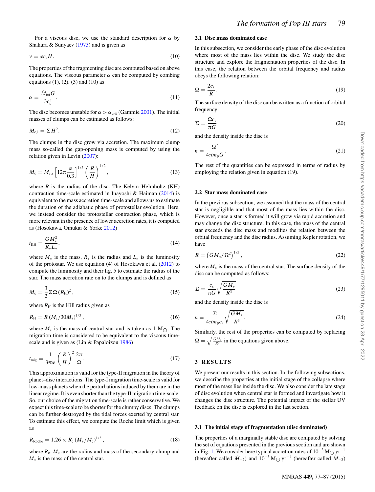For a viscous disc, we use the standard description for  $\alpha$  by Shakura & Sunyaev (1973) and is given as

$$
v = \alpha c_s H. \tag{10}
$$

The properties of the fragmenting disc are computed based on above equations. The viscous parameter  $\alpha$  can be computed by combing equations  $(1)$ ,  $(2)$ ,  $(3)$  and  $(10)$  as

$$
\alpha = \frac{\dot{M}_{\text{tot}}G}{3c_s^3}.\tag{11}
$$

The disc becomes unstable for  $\alpha > \alpha_{\rm crit}$  (Gammie 2001). The initial masses of clumps can be estimated as follows:

$$
M_{\rm c,i} = \Sigma H^2. \tag{12}
$$

The clumps in the disc grow via accretion. The maximum clump mass so-called the gap-opening mass is computed by using the relation given in Levin (2007):

$$
M_{\rm c} = M_{\rm c,i} \left[ 12\pi \frac{\alpha}{0.3} \right]^{1/2} \left( \frac{R}{H} \right)^{1/2},\tag{13}
$$

where  $R$  is the radius of the disc. The Kelvin–Helmholtz (KH) contraction time-scale estimated in Inayoshi & Haiman (2014) is equivalent to the mass accretion time-scale and allows us to estimate the duration of the adiabatic phase of protostellar evolution. Here, we instead consider the protostellar contraction phase, which is more relevant in the presence of lower accretion rates, it is computed as (Hosokawa, Omukai & Yorke 2012)

$$
t_{\rm KH} = \frac{GM_*^2}{R_* L_*},\tag{14}
$$

where  $M_*$  is the mass,  $R_*$  is the radius and  $L_*$  is the luminosity of the protostar. We use equation (4) of Hosokawa et al. (2012) to compute the luminosity and their fig. 5 to estimate the radius of the star. The mass accretion rate on to the clumps and is defined as

$$
\dot{M}_{\rm c} = \frac{3}{2} \Sigma \Omega (R_{\rm H})^2, \qquad (15)
$$

where  $R<sub>H</sub>$  is the Hill radius given as

$$
R_{\rm H} = R \left( M_{\rm c} / 30 M_{\ast} \right)^{1/3},\tag{16}
$$

where  $M_*$  is the mass of central star and is taken as 1 M<sub>☉</sub>. The migration time is considered to be equivalent to the viscous timescale and is given as (Lin & Papaloizou 1986)

$$
t_{\rm mig} = \frac{1}{3\pi\alpha} \left(\frac{R}{H}\right)^2 \frac{2\pi}{\Omega}.
$$
 (17)

This approximation is valid for the type-II migration in the theory of planet–disc interactions. The type-I migration time-scale is valid for low-mass planets when the perturbations induced by them are in the linear regime. It is even shorter than the type-II migration time-scale. So, our choice of the migration time-scale is rather conservative. We expect this time-scale to be shorter for the clumpy discs. The clumps can be further destroyed by the tidal forces exerted by central star. To estimate this effect, we compute the Roche limit which is given as

$$
R_{\text{Roche}} = 1.26 \times R_{\text{c}} \left( M_*/M_{\text{c}} \right)^{1/3},\tag{18}
$$

where  $R_c$ ,  $M_c$  are the radius and mass of the secondary clump and *M*<sup>∗</sup> is the mass of the central star.

## **2.1 Disc mass dominated case**

In this subsection, we consider the early phase of the disc evolution where most of the mass lies within the disc. We study the disc structure and explore the fragmentation properties of the disc. In this case, the relation between the orbital frequency and radius obeys the following relation:

$$
\Omega = \frac{2c_s}{R}.\tag{19}
$$

The surface density of the disc can be written as a function of orbital frequency:

$$
\Sigma = \frac{\Omega c_{s}}{\pi G} \tag{20}
$$

and the density inside the disc is

$$
n = \frac{\Omega^2}{4\pi m_p G}.
$$
\n(21)

The rest of the quantities can be expressed in terms of radius by employing the relation given in equation (19).

## **2.2 Star mass dominated case**

In the previous subsection, we assumed that the mass of the central star is negligible and that most of the mass lies within the disc. However, once a star is formed it will grow via rapid accretion and may change the disc structure. In this case, the mass of the central star exceeds the disc mass and modifies the relation between the orbital frequency and the disc radius. Assuming Kepler rotation, we have

$$
R = \left( GM_*/\Omega^2 \right)^{1/3},\tag{22}
$$

where  $M_*$  is the mass of the central star. The surface density of the disc can be computed as follows:

$$
\Sigma = \frac{c_{\rm s}}{\pi G} \sqrt{\frac{GM_{*}}{R^3}}
$$
\n(23)

and the density inside the disc is

$$
n = \frac{\Sigma}{4\pi m_{\rm p}c_{\rm s}}\sqrt{\frac{GM_*}{R^3}}.\tag{24}
$$

Similarly, the rest of the properties can be computed by replacing  $\Omega = \sqrt{\frac{GM_*}{R^3}}$  in the equations given above.

## **3 RESULTS**

We present our results in this section. In the following subsections, we describe the properties at the initial stage of the collapse where most of the mass lies inside the disc. We also consider the late stage of disc evolution when central star is formed and investigate how it changes the disc structure. The potential impact of the stellar UV feedback on the disc is explored in the last section.

### **3.1 The initial stage of fragmentation (disc dominated)**

The properties of a marginally stable disc are computed by solving the set of equations presented in the previous section and are shown in Fig. 1. We consider here typical accretion rates of  $10^{-2}$  M<sub>O</sub> yr<sup>−1</sup> (hereafter called  $\dot{M}_{-2}$ ) and  $10^{-3}$  M<sub> $\odot$ </sub> yr<sup>-1</sup> (hereafter called  $\dot{M}_{-3}$ )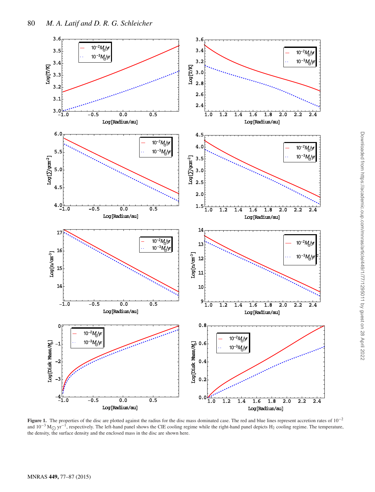

**Figure 1.** The properties of the disc are plotted against the radius for the disc mass dominated case. The red and blue lines represent accretion rates of 10−<sup>2</sup> and  $10^{-3}$  M<sub> $\odot$ </sub> yr<sup>-1</sup>, respectively. The left-hand panel shows the CIE cooling regime while the right-hand panel depicts H<sub>2</sub> cooling regime. The temperature, the deprivative the currical depicts of a cooling regime the density, the surface density and the enclosed mass in the disc are shown here.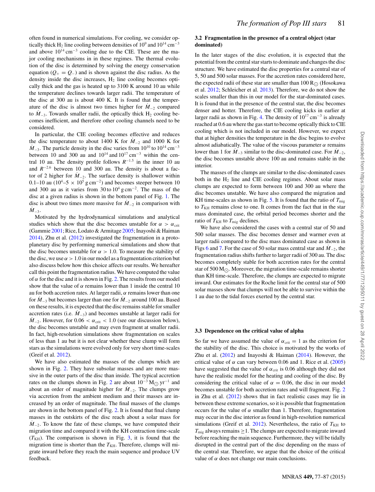often found in numerical simulations. For cooling, we consider optically thick H<sub>2</sub> line cooling between densities of 10<sup>9</sup> and 10<sup>14</sup> cm<sup>-3</sup> and above  $10^{14}$  cm<sup>-3</sup> cooling due to the CIE. These are the major cooling mechanisms in in these regimes. The thermal evolution of the disc is determined by solving the energy conservation equation ( $Q_+ = Q_-$ ) and is shown against the disc radius. As the density inside the disc increases,  $H_2$  line cooling becomes optically thick and the gas is heated up to 3100 K around 10 au while the temperature declines towards larger radii. The temperature of the disc at 300 au is about 400 K. It is found that the temperature of the disc is almost two times higher for  $\dot{M}_{-2}$  compared to  $M_{-3}$ . Towards smaller radii, the optically thick H<sub>2</sub> cooling becomes inefficient, and therefore other cooling channels need to be considered.

In particular, the CIE cooling becomes effective and reduces the disc temperature to about 1400 K for  $\dot{M}_{-2}$  and 1000 K for  $M_{-3}$ . The particle density in the disc varies from 10<sup>10</sup> to 10<sup>14</sup> cm<sup>-3</sup> between 10 and 300 au and  $10^{14}$  and  $10^{17}$  cm<sup>-3</sup> within the central 10 au. The density profile follows  $R^{-1.5}$  in the inner 10 au and *R*−2.6 between 10 and 300 au. The density is about a factor of 2 higher for  $M_{-2}$ . The surface density is shallower within 0.1–10 au ( $10^4$ –5 ×  $10^5$  g cm<sup>-2</sup>) and becomes steeper between 10 and 300 au as it varies from 30 to  $10^4$  g cm<sup>-2</sup>. The mass of the disc at a given radius is shown in the bottom panel of Fig. 1. The disc is about two times more massive for  $M_{-2}$  in comparison with  $M_{-3}$ .

Motivated by the hydrodynamical simulations and analytical studies which show that the disc becomes unstable for  $\alpha > \alpha_{\rm crit}$ (Gammie 2001; Rice, Lodato & Armitage 2005; Inayoshi & Haiman 2014), Zhu et al. (2012) investigated the fragmentation in a protoplanetary disc by performing numerical simulations and show that the disc becomes unstable for  $\alpha > 1.0$ . To measure the stability of the disc, we use  $\alpha > 1.0$  in our model as a fragmentation criterion but also discuss below how this choice affects our results. We hereafter call this point the fragmentation radius. We have computed the value of  $\alpha$  for the disc and it is shown in Fig. 2. The results from our model show that the value of  $\alpha$  remains lower than 1 inside the central 10 au for both accretion rates. At larger radii, *α* remains lower than one for  $M_{-3}$  but becomes larger than one for  $M_{-2}$  around 100 au. Based on these results, it is expected that the disc remains stable for smaller accretion rates (i.e.  $M_{-3}$ ) and becomes unstable at larger radii for  $M_{-2}$ . However, for  $0.06 < \alpha_{\text{crit}} < 1.0$  (see our discussion below), the disc becomes unstable and may even fragment at smaller radii. In fact, high-resolution simulations show fragmentation on scales of less than 1 au but it is not clear whether these clump will form stars as the simulations were evolved only for very short time-scales (Greif et al. 2012).

We have also estimated the masses of the clumps which are shown in Fig. 2. They have subsolar masses and are more massive in the outer parts of the disc than inside. The typical accretion rates on the clumps shown in Fig. 2 are about  $10^{-3}$  M<sub> $\odot$ </sub> yr<sup>-1</sup> and about an order of magnitude higher for  $M_{-2}$ . The clumps grow via accretion from the ambient medium and their masses are increased by an order of magnitude. The final masses of the clumps are shown in the bottom panel of Fig. 2. It is found that final clump masses in the outskirts of the disc reach about a solar mass for  $M_{-2}$ . To know the fate of these clumps, we have computed their migration time and compared it with the KH contraction time-scale  $(T<sub>KH</sub>)$ . The comparison is shown in Fig. 3, it is found that the migration time is shorter than the  $T<sub>KH</sub>$ . Therefore, clumps will migrate inward before they reach the main sequence and produce UV feedback.

#### **3.2 Fragmentation in the presence of a central object (star dominated)**

In the later stages of the disc evolution, it is expected that the potential from the central star starts to dominate and changes the disc structure. We have estimated the disc properties for a central star of 5, 50 and 500 solar masses. For the accretion rates considered here, the expected radii of these star are smaller than  $100 R_{\odot}$  (Hosokawa et al. 2012; Schleicher et al. 2013). Therefore, we do not show the scales smaller than this in our model for the star-dominated cases. It is found that in the presence of the central star, the disc becomes denser and hotter. Therefore, the CIE cooling kicks in earlier at larger radii as shown in Fig. 4. The density of  $10^{17}$  cm<sup>-3</sup> is already reached at 0.6 au where the gas start to become optically thick to CIE cooling which is not included in our model. However, we expect that at higher densities the temperature in the disc begins to evolve almost adiabatically. The value of the viscous parameter  $\alpha$  remains lower than 1 for  $M_{-3}$  similar to the disc-dominated case. For  $M_{-2}$ , the disc becomes unstable above 100 au and remains stable in the interior.

The masses of the clumps are similar to the disc-dominated cases both in the  $H_2$  line and CIE cooling regimes. About solar mass clumps are expected to form between 100 and 300 au where the disc becomes unstable. We have also compared the migration and KH time-scales as shown in Fig. 5. It is found that the ratio of  $T_{\text{mig}}$ to  $T<sub>KH</sub>$  remains close to one. It comes from the fact that in the star mass dominated case, the orbital period becomes shorter and the ratio of  $T_{\text{KH}}$  to  $T_{\text{mig}}$  declines.

We have also considered the cases with a central star of 50 and 500 solar masses. The disc becomes denser and warmer even at larger radii compared to the disc mass dominated case as shown in Figs 6 and 7. For the case of 50 solar mass central star and  $M_{-2}$ , the fragmentation radius shifts further to larger radii of 300 au. The disc becomes completely stable for both accretion rates for the central star of 500 M<sub>O</sub>. Moreover, the migration time-scale remains shorter than KH time-scale. Therefore, the clumps are expected to migrate inward. Our estimates for the Roche limit for the central star of 500 solar masses show that clumps will not be able to survive within the 1 au due to the tidal forces exerted by the central star.

#### **3.3 Dependence on the critical value of alpha**

So far we have assumed the value of  $\alpha_{\rm crit} = 1$  as the criterion for the stability of the disc. This choice is motivated by the works of Zhu et al.  $(2012)$  and Inayoshi & Haiman  $(2014)$ . However, the critical value of  $\alpha$  can vary between 0.06 and 1. Rice et al. (2005) have suggested that the value of  $\alpha_{\text{crit}}$  is 0.06 although they did not have the realistic model for the heating and cooling of the disc. By considering the critical value of  $\alpha = 0.06$ , the disc in our model becomes unstable for both accretion rates and will fragment. Fig. 2 in Zhu et al. (2012) shows that in fact realistic cases may lie in between these extreme scenarios, so it is possible that fragmentation occurs for the value of  $\alpha$  smaller than 1. Therefore, fragmentation may occur in the disc interior as found in high-resolution numerical simulations (Greif et al. 2012). Nevertheless, the ratio of  $T<sub>KH</sub>$  to  $T_{\text{mig}}$  always remains  $\geq 1$ . The clumps are expected to migrate inward before reaching the main sequence. Furthermore, they will be tidally disrupted in the central part of the disc depending on the mass of the central star. Therefore, we argue that the choice of the critical value of  $\alpha$  does not change our main conclusions.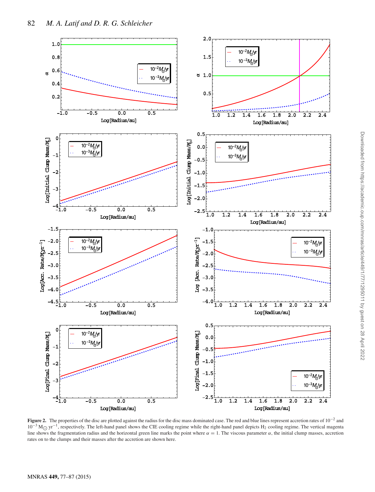

**Figure 2.** The properties of the disc are plotted against the radius for the disc mass dominated case. The red and blue lines represent accretion rates of 10−<sup>2</sup> and  $10^{-3}$  M<sub>O</sub> yr<sup>-1</sup>, respectively. The left-hand panel shows the CIE cooling regime while the right-hand panel depicts H<sub>2</sub> cooling regime. The vertical magenta<br>line shows the fragmentation redive and the best contact gre line shows the fragmentation radius and the horizontal green line marks the point where  $\alpha = 1$ . The viscous parameter  $\alpha$ , the initial clump masses, accretion rates on to the clumps and their masses after the accretion are shown here.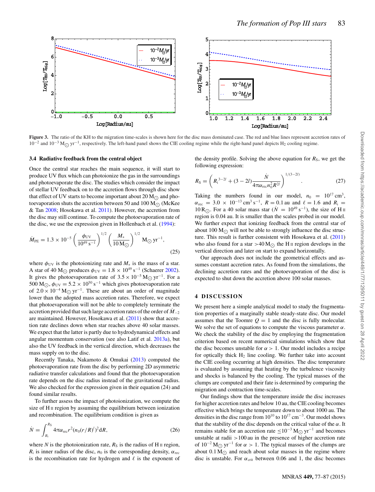

**Figure 3.** The ratio of the KH to the migration time-scales is shown here for the disc mass dominated case. The red and blue lines represent accretion rates of  $10^{-2}$  and  $10^{-3}$  M<sub> $\odot$ </sub> yr<sup>-1</sup>, respectively. The left-hand panel shows the CIE cooling regime while the right-hand panel depicts H<sub>2</sub> cooling regime.

#### **3.4 Radiative feedback from the central object**

Once the central star reaches the main sequence, it will start to produce UV flux which can photoionize the gas in the surroundings and photoevaporate the disc. The studies which consider the impact of stellar UV feedback on to the accretion flows through disc show that effect of UV starts to become important about 20  $M_{\odot}$  and photoevaporation shuts the accretion between 50 and 100 M<sub> $\odot$ </sub> (McKee & Tan 2008; Hosokawa et al. 2011). However, the accretion from the disc may still continue. To compute the photoevaporation rate of the disc, we use the expression given in Hollenbach et al. (1994):

$$
\dot{M}_{\rm PE} = 1.3 \times 10^{-5} \left( \frac{\phi_{\rm UV}}{10^{49} \,\text{s}^{-1}} \right)^{1/2} \left( \frac{M_*}{10 \,\text{M}_{\odot}} \right)^{1/2} \,\text{M}_{\odot} \,\text{yr}^{-1},\tag{25}
$$

where  $\phi_{UV}$  is the photoionizing rate and  $M_*$  is the mass of a star. A star of 40 M<sub>O</sub> produces  $\phi_{UV} = 1.8 \times 10^{49} \text{ s}^{-1}$  (Schaerer 2002). It gives the photoevaporation rate of  $3.5 \times 10^{-5}$  M<sub>O</sub> yr<sup>-1</sup>. For a 500 M<sub>O</sub>,  $\phi_{UV} = 5.2 \times 10^{50} \text{ s}^{-1}$  which gives photoevaporation rate of 2.0 × 10<sup>-4</sup> M<sub>O</sub> yr<sup>-1</sup>. These are about an order of magnitude lower than the adopted mass accretion rates. Therefore, we expect that photoevaporation will not be able to completely terminate the accretion provided that such large accretion rates of the order of  $M_{-2}$ are maintained. However, Hosokawa et al. (2011) show that accretion rate declines down when star reaches above 40 solar masses. We expect that the latter is partly due to hydrodynamical effects and angular momentum conservation (see also Latif et al. 2013a), but also the UV feedback in the vertical direction, which decreases the mass supply on to the disc.

Recently Tanaka, Nakamoto & Omukai (2013) computed the photoevaporation rate from the disc by performing 2D asymmetric radiative transfer calculations and found that the photoevaporation rate depends on the disc radius instead of the gravitational radius. We also checked for the expression given in their equation (24) and found similar results.

To further assess the impact of photoionization, we compute the size of H<sub>II</sub> region by assuming the equilibrium between ionization and recombination. The equilibrium condition is given as

$$
\dot{N} = \int_{R_{\rm i}}^{R_{\rm S}} 4\pi \alpha_{\rm rec} r^2 (n_0 (r/R)^l)^2 dR,\tag{26}
$$

where *N* is the photoionization rate,  $R<sub>S</sub>$  is the radius of H  $\text{II}$  region, *R*<sub>i</sub> is inner radius of the disc,  $n_0$  is the corresponding density,  $\alpha_{\text{rec}}$ is the recombination rate for hydrogen and  $\ell$  is the exponent of the density profile. Solving the above equation for  $R<sub>S</sub>$ , we get the following expression:

$$
R_{\rm S} = \left(R_{\rm i}^{3-2l} + (3-2l)\frac{\dot{N}}{4\pi\alpha_{\rm rec}n_0^2R^{2l}}\right)^{1/(3-2l)}.\tag{27}
$$

Taking the numbers found in our model,  $n_0 = 10^{17} \text{ cm}^3$ ,  $\alpha_{\text{rec}} = 3.0 \times 10^{-13} \text{ cm}^3 \text{ s}^{-1}$ ,  $R = 0.1$  au and  $\ell = 1.6$  and  $R_i =$ 10 R<sub>○</sub>. For a 40 solar mass star ( $\dot{N} = 10^{49}$  s<sup>−1</sup>), the size of H<sub>II</sub> arcticle is 0.04 sq. It is small at the size of the size of H<sub>I</sub> region is 0.04 au. It is smaller than the scales probed in our model. We further expect that ionizing feedback from the central star of about 100 M<sub> $\odot$ </sub> will not be able to strongly influence the disc structure. This result is further consistent with Hosokawa et al. (2011) who also found for a star  $>40 M_{\odot}$  the H<sub>II</sub> region develops in the vertical direction and later on start to expand horizontally.

Our approach does not include the geometrical effects and assumes constant accretion rates. As found from the simulations, the declining accretion rates and the photoevaporation of the disc is expected to shut down the accretion above 100 solar masses.

#### **4 DISCUSSION**

We present here a simple analytical model to study the fragmentation properties of a marginally stable steady-state disc. Our model assumes that the Toomre  $Q = 1$  and the disc is fully molecular. We solve the set of equations to compute the viscous parameter  $\alpha$ . We check the stability of the disc by employing the fragmentation criterion based on recent numerical simulations which show that the disc becomes unstable for  $\alpha > 1$ . Our model includes a recipe for optically thick  $H_2$  line cooling. We further take into account the CIE cooling occurring at high densities. The disc temperature is evaluated by assuming that heating by the turbulence viscosity and shocks is balanced by the cooling. The typical masses of the clumps are computed and their fate is determined by comparing the migration and contraction time-scales.

Our findings show that the temperature inside the disc increases for higher accretion rates and below 10 au, the CIE cooling becomes effective which brings the temperature down to about 1000 au. The densities in the disc range from  $10^{10}$  to  $10^{17}$  cm<sup>-3</sup>. Our model shows that the stability of the disc depends on the critical value of the *α*. It remains stable for an accretion rate  $\leq 10^{-3}$  M<sub>O</sub> yr<sup>-1</sup> and becomes unstable at radii *>*100 au in the presence of higher accretion rate of  $10^{-2}$  M<sub> $\odot$ </sub> yr<sup>-1</sup> for  $\alpha > 1$ . The typical masses of the clumps are about  $0.1 M_{\odot}$  and reach about solar masses in the regime where disc is unstable. For  $\alpha_{\rm crit}$  between 0.06 and 1, the disc becomes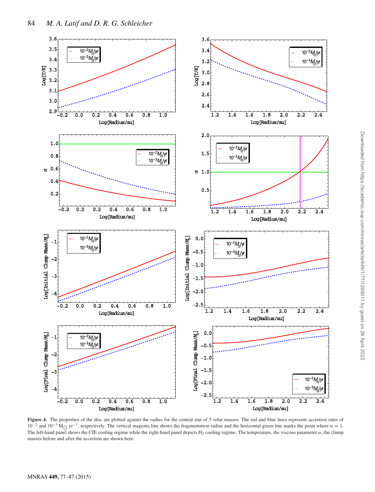

Figure 4. The properties of the disc are plotted against the radius for the central star of 5 solar masses. The red and blue lines represent accretion rates of  $10^{-2}$  and  $10^{-3}$  M<sub>C</sub> yr<sup>-1</sup>, respectively. The vertical magenta line shows the fragmentation radius and the horizontal green line marks the point where  $\alpha = 1$ . The left-hand panel shows the CIE cooling regime while the right-hand panel depicts  $H_2$  cooling regime. The temperature, the viscous parameter  $\alpha$ , the clump masses before and after the accretion are shown here.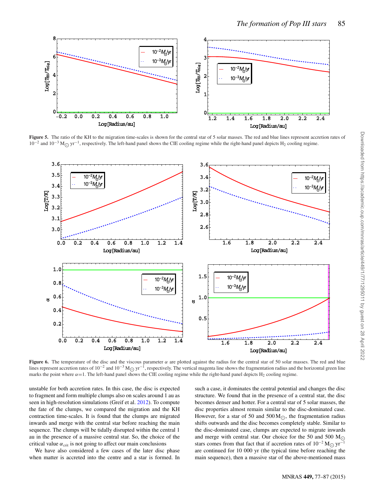

Figure 5. The ratio of the KH to the migration time-scales is shown for the central star of 5 solar masses. The red and blue lines represent accretion rates of  $10^{-2}$  and  $10^{-3}$  M<sub> $\odot$ </sub> yr<sup>-1</sup>, respectively. The left-hand panel shows the CIE cooling regime while the right-hand panel depicts H<sub>2</sub> cooling regime.



**Figure 6.** The temperature of the disc and the viscous parameter *α* are plotted against the radius for the central star of 50 solar masses. The red and blue lines represent accretion rates of  $10^{-2}$  and  $10^{-3}$  M<sub>O</sub> yr<sup>-1</sup>, respectively. The vertical magenta line shows the fragmentation radius and the horizontal green line<br>magke the point where  $\alpha = 1$ . The left hand papel s marks the point where  $\alpha = 1$ . The left-hand panel shows the CIE cooling regime while the right-hand panel depicts H<sub>2</sub> cooling regime.

unstable for both accretion rates. In this case, the disc is expected to fragment and form multiple clumps also on scales around 1 au as seen in high-resolution simulations (Greif et al. 2012). To compute the fate of the clumps, we compared the migration and the KH contraction time-scales. It is found that the clumps are migrated inwards and merge with the central star before reaching the main sequence. The clumps will be tidally disrupted within the central 1 au in the presence of a massive central star. So, the choice of the critical value  $\alpha_{\rm crit}$  is not going to affect our main conclusions

We have also considered a few cases of the later disc phase when matter is accreted into the centre and a star is formed. In such a case, it dominates the central potential and changes the disc structure. We found that in the presence of a central star, the disc becomes denser and hotter. For a central star of 5 solar masses, the disc properties almost remain similar to the disc-dominated case. However, for a star of 50 and 500 $M_{\odot}$ , the fragmentation radius shifts outwards and the disc becomes completely stable. Similar to the disc-dominated case, clumps are expected to migrate inwards and merge with central star. Our choice for the 50 and 500  $M_{\odot}$ stars comes from that fact that if accretion rates of  $10^{-2}$  M<sub>O</sub> yr<sup>-1</sup> are continued for 10 000 yr (the typical time before reaching the main sequence), then a massive star of the above-mentioned mass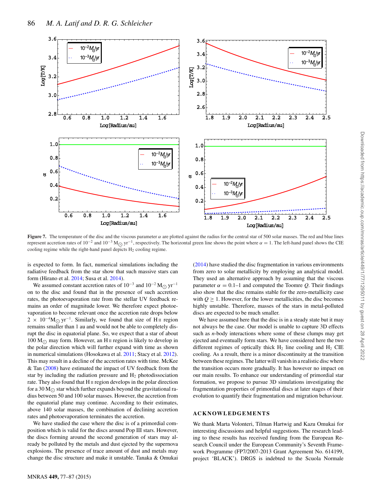

**Figure 7.** The temperature of the disc and the viscous parameter  $\alpha$  are plotted against the radius for the central star of 500 solar masses. The red and blue lines represent accretion rates of  $10^{-2}$  and  $10^{-3}$  M<sub>O</sub> yr<sup>-1</sup>, respectively. The horizontal green line shows the point where  $\alpha = 1$ . The left-hand panel shows the CIE cooling regime while the right-hand panel depicts  $H_2$  cooling regime.

is expected to form. In fact, numerical simulations including the radiative feedback from the star show that such massive stars can form (Hirano et al. 2014; Susa et al. 2014).

We assumed constant accretion rates of  $10^{-3}$  and  $10^{-2}$  M<sub> $\odot$ </sub> yr<sup>-1</sup> on to the disc and found that in the presence of such accretion rates, the photoevaporation rate from the stellar UV feedback remains an order of magnitude lower. We therefore expect photoevaporation to become relevant once the accretion rate drops below  $2 \times 10^{-4}$ M<sub>O</sub> yr<sup>-1</sup>. Similarly, we found that size of H<sub>II</sub> region remains smaller than 1 au and would not be able to completely disrupt the disc in equatorial plane. So, we expect that a star of about 100  $M_{\odot}$  may form. However, an H<sub>II</sub> region is likely to develop in the polar direction which will further expand with time as shown in numerical simulations (Hosokawa et al. 2011; Stacy et al. 2012). This may result in a decline of the accretion rates with time. McKee & Tan (2008) have estimated the impact of UV feedback from the star by including the radiation pressure and  $H_2$  photodissociation rate. They also found that H II region develops in the polar direction for a 30 M<sub> $\odot$ </sub> star which further expands beyond the gravitational radius between 50 and 100 solar masses. However, the accretion from the equatorial plane may continue. According to their estimates, above 140 solar masses, the combination of declining accretion rates and photoevaporation terminates the accretion.

We have studied the case where the disc is of a primordial composition which is valid for the discs around Pop III stars. However, the discs forming around the second generation of stars may already be polluted by the metals and dust ejected by the supernova explosions. The presence of trace amount of dust and metals may change the disc structure and make it unstable. Tanaka & Omukai (2014) have studied the disc fragmentation in various environments from zero to solar metallicity by employing an analytical model. They used an alternative approach by assuming that the viscous parameter  $\alpha = 0.1$ –1 and computed the Toomre *Q*. Their findings also show that the disc remains stable for the zero-metallicity case with  $Q \geq 1$ . However, for the lower metallicities, the disc becomes highly unstable. Therefore, masses of the stars in metal-polluted discs are expected to be much smaller.

We have assumed here that the disc is in a steady state but it may not always be the case. Our model is unable to capture 3D effects such as *n*-body interactions where some of these clumps may get ejected and eventually form stars. We have considered here the two different regimes of optically thick  $H_2$  line cooling and  $H_2$  CIE cooling. As a result, there is a minor discontinuity at the transition between these regimes. The latter will vanish in a realistic disc where the transition occurs more gradually. It has however no impact on our main results. To enhance our understanding of primordial star formation, we propose to pursue 3D simulations investigating the fragmentation properties of primordial discs at later stages of their evolution to quantify their fragmentation and migration behaviour.

### **ACKNOWLEDGEMENTS**

We thank Marta Volonteri, Tilman Hartwig and Kazu Omukai for interesting discussions and helpful suggestions. The research leading to these results has received funding from the European Research Council under the European Community's Seventh Framework Programme (FP7/2007-2013 Grant Agreement No. 614199, project 'BLACK'). DRGS is indebted to the Scuola Normale